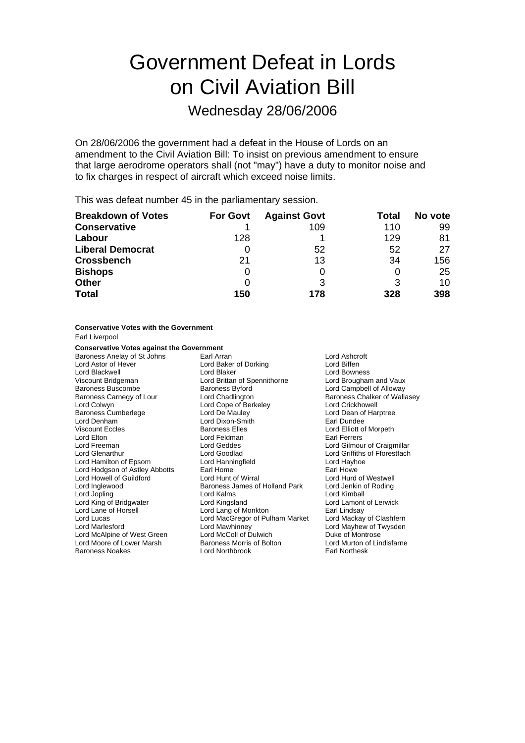# Government Defeat in Lords on Civil Aviation Bill

### Wednesday 28/06/2006

On 28/06/2006 the government had a defeat in the House of Lords on an amendment to the Civil Aviation Bill: To insist on previous amendment to ensure that large aerodrome operators shall (not "may") have a duty to monitor noise and to fix charges in respect of aircraft which exceed noise limits.

This was defeat number 45 in the parliamentary session.

| <b>Breakdown of Votes</b> | <b>For Govt</b> | <b>Against Govt</b> | Total | No vote |
|---------------------------|-----------------|---------------------|-------|---------|
| <b>Conservative</b>       |                 | 109                 | 110   | 99      |
| Labour                    | 128             |                     | 129   | 81      |
| <b>Liberal Democrat</b>   |                 | 52                  | 52    | 27      |
| <b>Crossbench</b>         | 21              | 13                  | 34    | 156     |
| <b>Bishops</b>            | O               |                     |       | 25      |
| <b>Other</b>              | O               |                     | 3     | 10      |
| <b>Total</b>              | 150             | 178                 | 328   | 398     |

#### **Conservative Votes with the Government**

Earl Liverpool

#### **Conservative Votes against the Government**

Baroness Anelay of St Johns Earl Arran Earl Arran Cord Ashcroft<br>
Lord Astor of Hever **Earl Arran Cord Baker** of Dorking **Earl Arran Cord Biffen** Lord Astor of Hever **Exercise Exercise Lord Baker of Dorking**<br>
Lord Blackwell **Lord Bigger** Lord Blaker Viscount Bridgeman Lord Brittan of Spennithorne Lord Brougham and Vaux Baroness Buscombe Baroness Byford Lord Campbell of Alloway<br>Baroness Carnegy of Lour Lord Chadlington Baroness Chalker of Walla Baroness Carnegy of Lour Lord Chadlington Changes Chalker of Wallasey<br>
Lord Colwyn Lord Cope of Berkeley Lord Crickhowell Baroness Cumberlege **Lord De Mauley Communist Cumberlege** Lord Dean of Harptree<br>
Lord Denham Lord Dixon-Smith Lord Dixon-Bearl Dundee Viscount Eccles **Baroness Elles** Lord Elliott of Morpeth Lord Elton Lord Feldman Earl Ferrers Lord Freeman Lord Geddes Lord Gilmour of Craigmillar Lord Hamilton of Epsom Lord Hodgson of Astley Abbotts Earl Home Tearl Home Earl Howe<br>
Lord Howell of Guildford Lord Hunt of Wirral Lord Hunt of Westwell Lord Howell of Guildford Lord Hunt of Wirral Lord Hurd of Westwell Lord Jopling **Lord Kalms** Lord Kalms **Lord Kimball** Lord King of Bridgwater Lord Kingsland Lord Lamont of Lerwick Lord Lane of Horsell<br>Lord Lucas Lord Marlesford **Lord Mawhinney** Cord Mayhew of Twysden<br>
Lord McColl of Dulwich Lord Most Chronicle Mayhew of Montrose Lord McAlpine of West Green Lord McColl of Dulwich Duke of Montrose Theory Cord McColl of Duke of Montrose The<br>Lord Moore of Lower Marsh Baroness Morris of Bolton Lord Murton of Lindisfarne Lord Moore of Lower Marsh Baroness Noakes Lord Northbrook Earl Northesk

Lord Cope of Berkeley **Lord Crickhowell** Lord Dixon-Smith<br>Baroness Flles Lord Goodlad **Lord Griffiths of Fforestfach**<br>
Lord Hanningfield **Collact Lord Hayhoe** Baroness James of Holland Park Lord MacGregor of Pulham Market Lord Mackay of Clashfern

**Lord Bowness**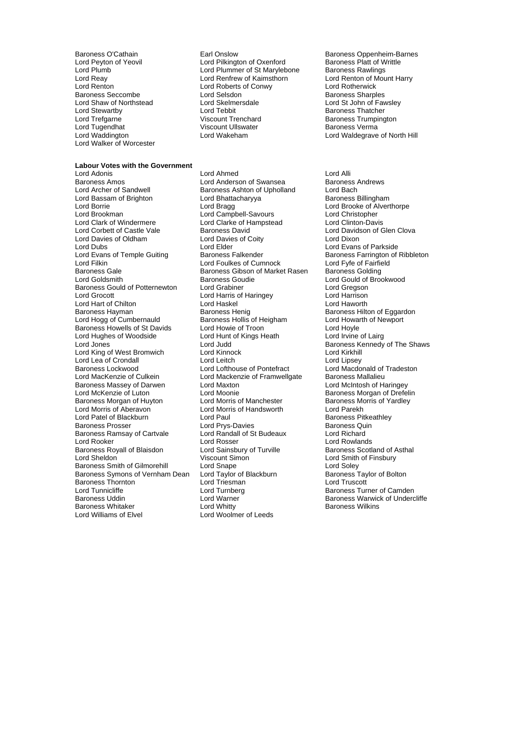Baroness Seccombe<br>
Lord Shaw of Northstead<br>
Lord Skelmersdale Lord Walker of Worcester

### **Labour Votes with the Government**

Baroness Amos<br>
Lord Archer of Sandwell<br>
Baroness Ashton of Upholla Lord Bassam of Brighton Lord Bhatta<br>Lord Borries Baroness Baroness Baroness Baroness Baroness Baroness Baroness Baroness Baroness Baroness Barones<br>Lord Bragg Lord Borrie Lord Bragg Lord Brooke of Alverthorpe Lord Clark of Windermere Lord Clarke of Hampstead Lord Clinton-Davis<br>
Lord Corbett of Castle Vale Baroness David Lord Davidson of C Lord Corbett of Castle Vale Baroness David Lord Davidson of Glen Clova<br>
Lord Davies of Oldham Lord Davies of Coity Lord Dixon Lord Dubs<br>
Lord Evans of Temple Guiting 
Lord Evans of Temple Guiting 
Baroness Falkender
Lord Evans of Temple Guiting

Lord Evans of Temple Guiting

Lord Evans of Temple Guiting

Lord Evans of Temple Guiting

Lord Evan Lord Evans of Temple Guiting Baroness Falkender Baroness Farrington of Ribbleton<br>
Lord Foulkes of Cumnock Lord Foul Lord Foulkes of Cumnock Lord Evie of Fairfield Lord Filkin **Lord Foulkes of Cumnock** Lord Fyfe of Fairfield Baroness Gale Cumnock Lord Fyfe of Fairfield Baroness Golding Lord Goldsmith **Baroness Goudie** Communication Cord Gould of Brookwood<br>
Baroness Gould of Potternewton Lord Grabiner Communication Cord Gregson Baroness Gould of Potternewton Lord Grabiner Lord Gregson<br>
Lord Grocott Lord Graphy Lord Harris of Haringey Lord Harrison Lord Hart of Chilton **Lord Haskel** Lord Haskel **Lord Haworth** Baroness Hayman **Baroness Henig** Baroness Henig Baroness Hilton of Eggardon<br>
Baroness Hollis of Heigham **Baroness Hollis of Heigham** Lord Howarth of Newport Baroness Howells of St Davids Lord Howie of Troon<br>
Lord Hughes of Woodside Lord Hunt of Kings Heath Lord Irvine Lord Hughes of Woodside Lord Hunt of Kings Heath Lord Irvine of Lairg<br>Lord Jones Cord Judd Lord Judd Baroness Kennedy Lord King of West Bromwich Lord Kinnock Lord Kirkhill Lord Lea of Crondall Lord Leitch Lord Lipsey Baroness Lockwood **Lord Lord Lofthouse of Pontefract** Lord Macdonald of Lord Macdonald of Tramess Mallalieu<br>Lord MacKenzie of Culkein Lord Mackenzie of Framwellgate Baroness Mallalieu Baroness Massey of Darwen **Farm Lord Maxton Lord Maxton Lord Moonie**<br>Lord McKenzie of Luton **Lord Moonie** Lord McKenzie of Luton Lord Moonie<br>
Baroness Morgan of Huyton Lord Morris of Manchester Baroness Morris of Yardley Baroness Morgan of Huyton Cord Morris of Manchester Baroness Morth Baroness Morris of Manchester Baroness Mort<br>
Lord Morris of Aberavon Cord Norris of Handsworth Cord Parekh Lord Morris of Aberavon<br>
Lord Patel of Blackburn<br>
Lord Paul Lord Patel of Blackburn **Lord Paul Baroness Pitkeathley**<br>
Baroness Prosser **Baroness Cuin**<br>
Baroness Quin Baroness Ramsay of Cartvale Lord Randall<br>
Lord Rooker Lord Rosser Lord Rooker The Lord Rosser Cord Rosser Lord Rowlands<br>
Lord Rowlands Lord Sainsbury of Turville The Baroness Scotl<br>
Lord Sainsbury of Turville The Baroness Scotl Baroness Royall of Blaisdon **a Lord Sainsbury of Turville** Baroness Scotland of Asthal<br>
Lord Sheldon **Asthal** Viscount Simon **and Shelt Cord Smith of Finsbury** Baroness Smith of Gilmorehill Lord Snape Lord Soley Lord Soley<br>Baroness Symons of Vernham Dean Lord Taylor of Blackburn Baroness Taylor of Bolton Baroness Symons of Vernham Dean Baroness Thornton Lord Triesman Lord Truscott Lord Tunnicliffe Turnberg Lord Turnberg Communication Baroness Turner of Camden<br>Baroness Uddin Baroness Uddin Lord Warner Communication Baroness Warwick of Underc Baroness Uddin **Exercise Secure 1. Secure 2.5 Secure 2.5 Secure 2.5 Secure 2.5 Secure 2.5 Secure 2.5 Secure 2.5 Secure 2.5 Secure 2.5 Secure 2.5 Secure 2.5 Secure 2.5 Secure 2.5 Secure 2.5 Secure 2.5 Secure 2.5 Secure 2.5** 

Baroness O'Cathain **Earl Onslow** Earl Onslow Baroness Oppenheim-Barnes<br> **Earl Onslow Baroness Platt of Writtle** Cord Pilkington of Oxenford Baroness Platt of Writtle Lord Peyton of Yeovil **Lord Pullet Lord Pilkington of Oxenford** Baroness Platt of W<br>
Lord Plummer of St Marylebone Baroness Rawlings Lord Plumb Lord Plummer of St Marylebone Baroness Rawlings<br>
Lord Reav Lord Rentrew of Kaimsthorn Lord Renton of Mount Harry Lord Reay Lord Renfrew of Kaimsthorn Lord Renton of N<br>
Lord Renton Lord Roberts of Conwy Lord Rotherwick Lord Roberts of Conwy<br>
Lord Selsdon **Lord Selsdon**<br>
Baroness Sharples Lord Shaw of Northstead Lord Skelmersdale Lord St John of Fawsley<br>
Lord St John of Fawsley<br>
Lord St John of Fawsley<br>
Lord St John of Fawsley Lord Stewartby **Lord Tebbit** Lord Tebbit **Baroness Thatcher**<br>
Lord Trefgarne **Construct Construct Construct Construct** Baroness Trumping Lord Trefgarne **Community Community Community** Viscount Trenchard<br>
Lord Tugendhat **Community Community Viscount Ullswater** Community Baroness Verma Viscount Ullswater Lord Waddington Lord Wakeham Lord Waldegrave of North Hill

Lord Adonis Lord Ahmed Lord Alli Baroness Ashton of Upholland Lord Bach<br>
Lord Bhattacharyya 
Baroness Billingham Lord Campbell-Savours Lord Christopher Lord Davies of Coity<br>Lord Elder Baroness Gibson of Market Rasen Lord Harris of Haringey Baroness Hollis of Heigham<br>Lord Howie of Troon Lord Mackenzie of Framwellgate Baroness Mallalieu<br>Lord Maxton Lord McIntosh of Haringey Lord Prys-Davies<br>
Lord Randall of St Budeaux<br>
Lord Richard **Baroness Whitaker Lord Whitty Constrainer Baroness Wilkins Lord Wilkins Lord Woolmer of Leeds Baroness Wilkins** Lord Woolmer of Leeds

Lord Judd **Baroness Kennedy of The Shaws**<br>
Lord Kinnock **Baroness Kennedy of The Shaws** Lord Smith of Finsbury